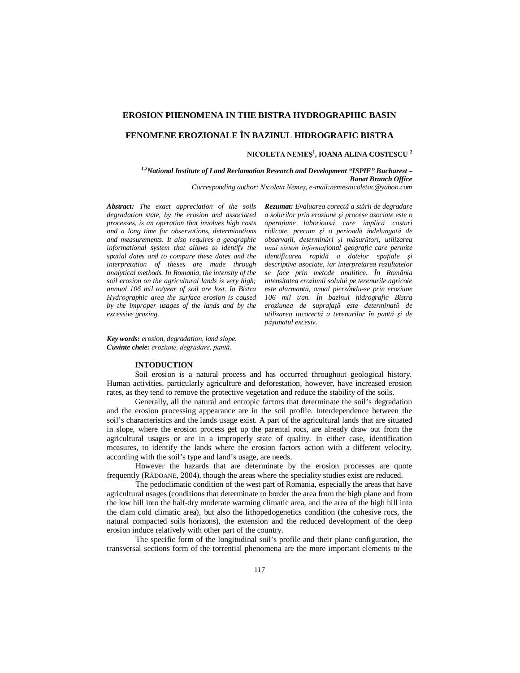## **EROSION PHENOMENA IN THE BISTRA HYDROGRAPHIC BASIN**

# **FENOMENE EROZIONALE ÎN BAZINUL HIDROGRAFIC BISTRA**

## **NICOLETA NEMEŞ<sup>1</sup> , IOANA ALINA COSTESCU <sup>2</sup>**

*Rezumat: Evaluarea corectă a stării de degradare a solurilor prin eroziune şi procese asociate este o operaţiune laborioasă care implică costuri ridicate, precum şi o perioadă îndelungată de observaţii, determinări şi măsurători, utilizarea unui sistem informaţional geografic care permite identificarea rapidă a datelor spaţiale şi descriptive asociate, iar interpretarea rezultatelor* 

*1,2National Institute of Land Reclamation Research and Development "ISPIF" Bucharest – Banat Branch Office Corresponding author: Nicoleta Nemeş, e-mail:nemesnicoletac@yahoo.com*

*Abstract: The exact appreciation of the soils degradation state, by the erosion and associated processes, is an operation that involves high costs and a long time for observations, determinations and measurements. It also requires a geographic informational system that allows to identify the spatial dates and to compare these dates and the interpretation of theses are made through analytical methods. In Romania, the intensity of the soil erosion on the agricultural lands is very high; annual 106 mil to/year of soil are lost. In Bistra Hydrographic area the surface erosion is caused by the improper usages of the lands and by the excessive grazing.*

*Key words: erosion, degradation, land slope. Cuvinte cheie: eroziune, degradare, pantă.*

#### **INTODUCTION**

Soil erosion is a natural process and has occurred throughout geological history. Human activities, particularly agriculture and deforestation, however, have increased erosion rates, as they tend to remove the protective vegetation and reduce the stability of the soils.

Generally, all the natural and entropic factors that determinate the soil's degradation and the erosion processing appearance are in the soil profile. Interdependence between the soil's characteristics and the lands usage exist. A part of the agricultural lands that are situated in slope, where the erosion process get up the parental rocs, are already draw out from the agricultural usages or are in a improperly state of quality. In either case, identification measures, to identify the lands where the erosion factors action with a different velocity, according with the soil's type and land's usage, are needs.

However the hazards that are determinate by the erosion processes are quote frequently (RĂDOANE, 2004), though the areas where the speciality studies exist are reduced.

The pedoclimatic condition of the west part of Romania, especially the areas that have agricultural usages (conditions that determinate to border the area from the high plane and from the low hill into the half-dry moderate warming climatic area, and the area of the high hill into the clam cold climatic area), but also the lithopedogenetics condition (the cohesive rocs, the natural compacted soils horizons), the extension and the reduced development of the deep erosion induce relatively with other part of the country.

The specific form of the longitudinal soil's profile and their plane configuration, the transversal sections form of the torrential phenomena are the more important elements to the

*se face prin metode analitice. În România intensitatea eroziunii solului pe terenurile agricole este alarmantă, anual pierzându-se prin eroziune 106 mil t/an. În bazinul hidrografic Bistra eroziunea de suprafaţă este determinată de utilizarea incorectă a terenurilor în pantă şi de păşunatul excesiv.*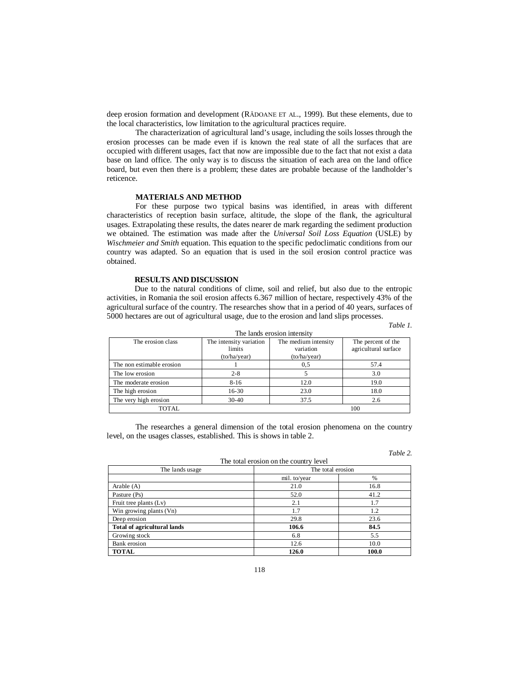deep erosion formation and development (RĂDOANE ET AL., 1999). But these elements, due to the local characteristics, low limitation to the agricultural practices require.

The characterization of agricultural land's usage, including the soils losses through the erosion processes can be made even if is known the real state of all the surfaces that are occupied with different usages, fact that now are impossible due to the fact that not exist a data base on land office. The only way is to discuss the situation of each area on the land office board, but even then there is a problem; these dates are probable because of the landholder's reticence.

## **MATERIALS AND METHOD**

For these purpose two typical basins was identified, in areas with different characteristics of reception basin surface, altitude, the slope of the flank, the agricultural usages. Extrapolating these results, the dates nearer de mark regarding the sediment production we obtained. The estimation was made after the *Universal Soil Loss Equation* (USLE) by *Wischmeier and Smith* equation. This equation to the specific pedoclimatic conditions from our country was adapted. So an equation that is used in the soil erosion control practice was obtained.

## **RESULTS AND DISCUSSION**

Due to the natural conditions of clime, soil and relief, but also due to the entropic activities, in Romania the soil erosion affects 6.367 million of hectare, respectively 43% of the agricultural surface of the country. The researches show that in a period of 40 years, surfaces of 5000 hectares are out of agricultural usage, due to the erosion and land slips processes.

*Table 1.*

| The lands erosion intensity |                                                   |                                                   |                                            |
|-----------------------------|---------------------------------------------------|---------------------------------------------------|--------------------------------------------|
| The erosion class           | The intensity variation<br>limits<br>(to/ha/year) | The medium intensity<br>variation<br>(to/ha/year) | The percent of the<br>agricultural surface |
| The non estimable erosion   |                                                   | 0.5                                               | 57.4                                       |
| The low erosion             | $2 - 8$                                           |                                                   | 3.0                                        |
| The moderate erosion        | $8-16$                                            | 12.0                                              | 19.0                                       |
| The high erosion            | 16-30                                             | 23.0                                              | 18.0                                       |
| The very high erosion       | $30-40$                                           | 37.5                                              | 2.6                                        |
| TOTAL                       |                                                   |                                                   | 100                                        |

The researches a general dimension of the total erosion phenomena on the country level, on the usages classes, established. This is shows in table 2.

|                                    |                                        | 1 avie 2.     |
|------------------------------------|----------------------------------------|---------------|
|                                    | The total erosion on the country level |               |
| The lands usage                    | The total erosion                      |               |
|                                    | mil. to/year                           | $\frac{0}{0}$ |
| Arable $(A)$                       | 21.0                                   | 16.8          |
| Pasture (Ps)                       | 52.0                                   | 41.2          |
| Fruit tree plants (Lv)             | 2.1                                    | 1.7           |
| Win growing plants (Vn)            | 1.7                                    | 1.2           |
| Deep erosion                       | 29.8                                   | 23.6          |
| <b>Total of agricultural lands</b> | 106.6                                  | 84.5          |
| Growing stock                      | 6.8                                    | 5.5           |
| Bank erosion                       | 12.6                                   | 10.0          |
| <b>TOTAL</b>                       | 126.0                                  | 100.0         |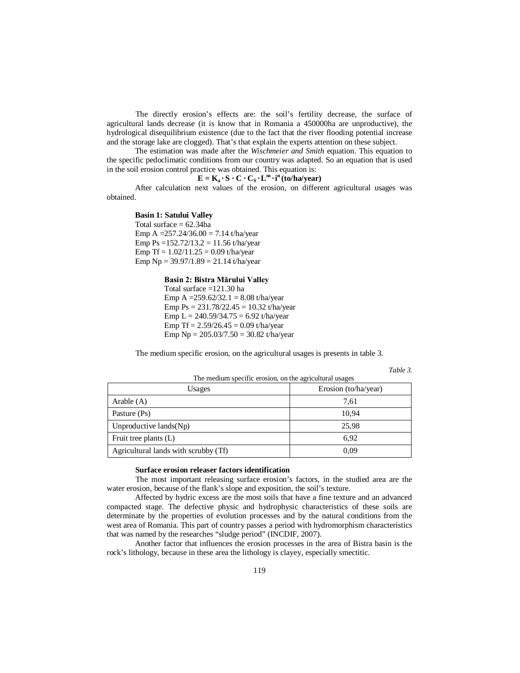The directly erosion's effects are: the soil's fertility decrease, the surface of agricultural lands decrease (it is know that in Romania a 450000ha are unproductive), the hydrological disequilibrium existence (due to the fact that the river flooding potential increase and the storage lake are clogged). That's that explain the experts attention on these subject.

The estimation was made after the *Wischmeier and Smith* equation. This equation to the specific pedoclimatic conditions from our country was adapted. So an equation that is used in the soil erosion control practice was obtained. This equation is:

# $\mathbf{E} = \mathbf{K}_a \cdot \mathbf{S} \cdot \mathbf{C} \cdot \mathbf{C}_S \cdot \mathbf{L}^m \cdot \mathbf{i}^n (\mathbf{\hat{t}}_0)$  ha/year)

After calculation next values of the erosion, on different agricultural usages was obtained.

### **Basin 1: Satului Valley**

Total surface  $= 62.34$ ha Emp A =  $257.24/36.00 = 7.14$  t/ha/year Emp Ps =  $152.72/13.2 = 11.56$  t/ha/year Emp Tf =  $1.02/11.25 = 0.09$  t/ha/year Emp  $Np = 39.97/1.89 = 21.14$  t/ha/year

# **Basin 2: Bistra Mărului Valley**

Total surface =121.30 ha Emp A =  $259.62/32.1 = 8.08$  t/ha/year Emp  $Ps = 231.78/22.45 = 10.32$  t/ha/year Emp L =  $240.59/34.75 = 6.92$  t/ha/year Emp Tf =  $2.59/26.45 = 0.09$  t/ha/year Emp  $Np = 205.03/7.50 = 30.82$  t/ha/year

The medium specific erosion, on the agricultural usages is presents in table 3.

*Table 3.* 

| Usages                               | Erosion (to/ha/year) |
|--------------------------------------|----------------------|
| Arable $(A)$                         | 7,61                 |
| Pasture (Ps)                         | 10,94                |
| Unproductive $lands(Np)$             | 25,98                |
| Fruit tree plants (L)                | 6.92                 |
| Agricultural lands with scrubby (Tf) | 0.09                 |

#### The medium specific erosion, on the agricultural usages

#### **Surface erosion releaser factors identification**

The most important releasing surface erosion's factors, in the studied area are the water erosion, because of the flank's slope and exposition, the soil's texture.

Affected by hydric excess are the most soils that have a fine texture and an advanced compacted stage. The defective physic and hydrophysic characteristics of these soils are determinate by the properties of evolution processes and by the natural conditions from the west area of Romania. This part of country passes a period with hydromorphism characteristics that was named by the researches "sludge period" (INCDIF, 2007).

Another factor that influences the erosion processes in the area of Bistra basin is the rock's lithology, because in these area the lithology is clayey, especially smectitic.